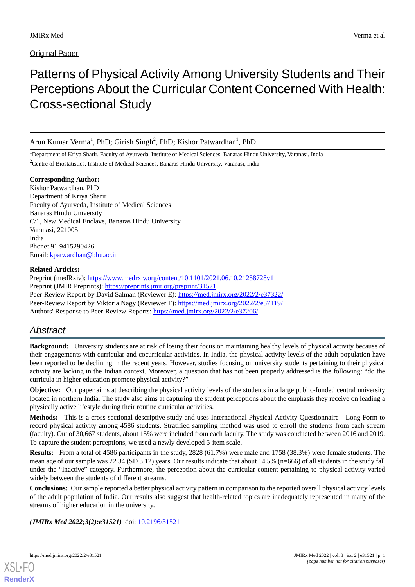## **Original Paper**

# Patterns of Physical Activity Among University Students and Their Perceptions About the Curricular Content Concerned With Health: Cross-sectional Study

Arun Kumar Verma<sup>1</sup>, PhD; Girish Singh<sup>2</sup>, PhD; Kishor Patwardhan<sup>1</sup>, PhD

<sup>1</sup>Department of Kriya Sharir, Faculty of Ayurveda, Institute of Medical Sciences, Banaras Hindu University, Varanasi, India

<sup>2</sup>Centre of Biostatistics, Institute of Medical Sciences, Banaras Hindu University, Varanasi, India

**Corresponding Author:** Kishor Patwardhan, PhD Department of Kriya Sharir Faculty of Ayurveda, Institute of Medical Sciences Banaras Hindu University C/1, New Medical Enclave, Banaras Hindu University Varanasi, 221005 India Phone: 91 9415290426 Email: [kpatwardhan@bhu.ac.in](mailto:kpatwardhan@bhu.ac.in)

## **Related Articles:**

Preprint (medRxiv): <https://www.medrxiv.org/content/10.1101/2021.06.10.21258728v1> Preprint (JMIR Preprints): <https://preprints.jmir.org/preprint/31521> Peer-Review Report by David Salman (Reviewer E): <https://med.jmirx.org/2022/2/e37322/> Peer-Review Report by Viktoria Nagy (Reviewer F):<https://med.jmirx.org/2022/2/e37119/> Authors' Response to Peer-Review Reports: <https://med.jmirx.org/2022/2/e37206/>

## *Abstract*

**Background:** University students are at risk of losing their focus on maintaining healthy levels of physical activity because of their engagements with curricular and cocurricular activities. In India, the physical activity levels of the adult population have been reported to be declining in the recent years. However, studies focusing on university students pertaining to their physical activity are lacking in the Indian context. Moreover, a question that has not been properly addressed is the following: "do the curricula in higher education promote physical activity?"

**Objective:** Our paper aims at describing the physical activity levels of the students in a large public-funded central university located in northern India. The study also aims at capturing the student perceptions about the emphasis they receive on leading a physically active lifestyle during their routine curricular activities.

**Methods:** This is a cross-sectional descriptive study and uses International Physical Activity Questionnaire—Long Form to record physical activity among 4586 students. Stratified sampling method was used to enroll the students from each stream (faculty). Out of 30,667 students, about 15% were included from each faculty. The study was conducted between 2016 and 2019. To capture the student perceptions, we used a newly developed 5-item scale.

**Results:** From a total of 4586 participants in the study, 2828 (61.7%) were male and 1758 (38.3%) were female students. The mean age of our sample was 22.34 (SD 3.12) years. Our results indicate that about 14.5% (n=666) of all students in the study fall under the "Inactive" category. Furthermore, the perception about the curricular content pertaining to physical activity varied widely between the students of different streams.

**Conclusions:** Our sample reported a better physical activity pattern in comparison to the reported overall physical activity levels of the adult population of India. Our results also suggest that health-related topics are inadequately represented in many of the streams of higher education in the university.

*(JMIRx Med 2022;3(2):e31521)* doi:  $10.2196/31521$ 

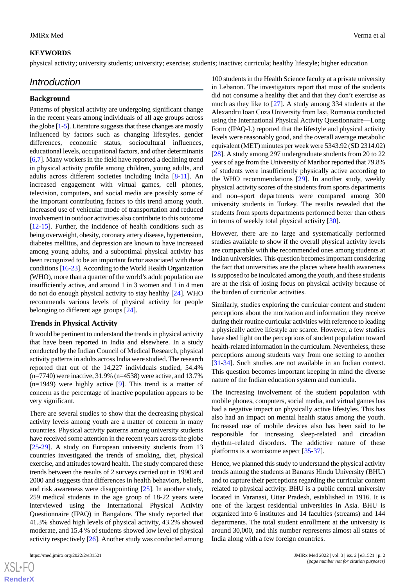#### **KEYWORDS**

physical activity; university students; university; exercise; students; inactive; curricula; healthy lifestyle; higher education

## *Introduction*

#### **Background**

Patterns of physical activity are undergoing significant change in the recent years among individuals of all age groups across the globe [\[1](#page-9-0)[-5](#page-9-1)]. Literature suggests that these changes are mostly influenced by factors such as changing lifestyles, gender differences, economic status, sociocultural influences, educational levels, occupational factors, and other determinants [[6](#page-9-2)[,7](#page-9-3)]. Many workers in the field have reported a declining trend in physical activity profile among children, young adults, and adults across different societies including India [\[8-](#page-9-4)[11\]](#page-9-5). An increased engagement with virtual games, cell phones, television, computers, and social media are possibly some of the important contributing factors to this trend among youth. Increased use of vehicular mode of transportation and reduced involvement in outdoor activities also contribute to this outcome [[12](#page-9-6)[-15](#page-9-7)]. Further, the incidence of health conditions such as being overweight, obesity, coronary artery disease, hypertension, diabetes mellitus, and depression are known to have increased among young adults, and a suboptimal physical activity has been recognized to be an important factor associated with these conditions [[16](#page-9-8)-[23\]](#page-10-0). According to the World Health Organization (WHO), more than a quarter of the world's adult population are insufficiently active, and around 1 in 3 women and 1 in 4 men do not do enough physical activity to stay healthy [\[24](#page-10-1)]. WHO recommends various levels of physical activity for people belonging to different age groups [\[24](#page-10-1)].

#### **Trends in Physical Activity**

It would be pertinent to understand the trends in physical activity that have been reported in India and elsewhere. In a study conducted by the Indian Council of Medical Research, physical activity patterns in adults across India were studied. The research reported that out of the 14,227 individuals studied, 54.4% (n=7740) were inactive, 31.9% (n=4538) were active, and 13.7% (n=1949) were highly active [[9\]](#page-9-9). This trend is a matter of concern as the percentage of inactive population appears to be very significant.

There are several studies to show that the decreasing physical activity levels among youth are a matter of concern in many countries. Physical activity patterns among university students have received some attention in the recent years across the globe [[25](#page-10-2)[-29](#page-10-3)]. A study on European university students from 13 countries investigated the trends of smoking, diet, physical exercise, and attitudes toward health. The study compared these trends between the results of 2 surveys carried out in 1990 and 2000 and suggests that differences in health behaviors, beliefs, and risk awareness were disappointing [[25\]](#page-10-2). In another study, 259 medical students in the age group of 18-22 years were interviewed using the International Physical Activity Questionnaire (IPAQ) in Bangalore. The study reported that 41.3% showed high levels of physical activity, 43.2% showed moderate, and 15.4 % of students showed low level of physical activity respectively [[26\]](#page-10-4). Another study was conducted among

 $XSI - F($ **[RenderX](http://www.renderx.com/)** 100 students in the Health Science faculty at a private university in Lebanon. The investigators report that most of the students did not consume a healthy diet and that they don't exercise as much as they like to [\[27](#page-10-5)]. A study among 334 students at the Alexandru Ioan Cuza University from Iasi, Romania conducted using the International Physical Activity Questionnaire—Long Form (IPAQ-L) reported that the lifestyle and physical activity levels were reasonably good, and the overall average metabolic equivalent (MET) minutes per week were 5343.92 (SD 2314.02) [[28\]](#page-10-6). A study among 297 undergraduate students from 20 to 22 years of age from the University of Maribor reported that 79.8% of students were insufficiently physically active according to the WHO recommendations [[29\]](#page-10-3). In another study, weekly physical activity scores of the students from sports departments and non–sport departments were compared among 300 university students in Turkey. The results revealed that the students from sports departments performed better than others in terms of weekly total physical activity [\[30](#page-10-7)].

However, there are no large and systematically performed studies available to show if the overall physical activity levels are comparable with the recommended ones among students at Indian universities. This question becomes important considering the fact that universities are the places where health awareness is supposed to be inculcated among the youth, and these students are at the risk of losing focus on physical activity because of the burden of curricular activities.

Similarly, studies exploring the curricular content and student perceptions about the motivation and information they receive during their routine curricular activities with reference to leading a physically active lifestyle are scarce. However, a few studies have shed light on the perceptions of student population toward health-related information in the curriculum. Nevertheless, these perceptions among students vary from one setting to another [[31](#page-10-8)[-34](#page-10-9)]. Such studies are not available in an Indian context. This question becomes important keeping in mind the diverse nature of the Indian education system and curricula.

The increasing involvement of the student population with mobile phones, computers, social media, and virtual games has had a negative impact on physically active lifestyles. This has also had an impact on mental health status among the youth. Increased use of mobile devices also has been said to be responsible for increasing sleep-related and circadian rhythm–related disorders. The addictive nature of these platforms is a worrisome aspect [[35-](#page-10-10)[37\]](#page-10-11).

Hence, we planned this study to understand the physical activity trends among the students at Banaras Hindu University (BHU) and to capture their perceptions regarding the curricular content related to physical activity. BHU is a public central university located in Varanasi, Uttar Pradesh, established in 1916. It is one of the largest residential universities in Asia. BHU is organized into 6 institutes and 14 faculties (streams) and 144 departments. The total student enrollment at the university is around 30,000, and this number represents almost all states of India along with a few foreign countries.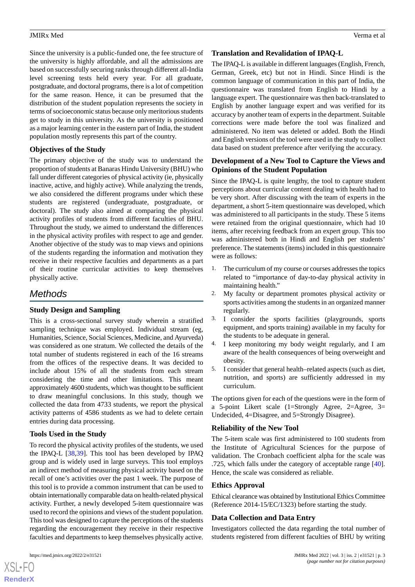Since the university is a public-funded one, the fee structure of the university is highly affordable, and all the admissions are based on successfully securing ranks through different all-India level screening tests held every year. For all graduate, postgraduate, and doctoral programs, there is a lot of competition for the same reason. Hence, it can be presumed that the distribution of the student population represents the society in terms of socioeconomic status because only meritorious students get to study in this university. As the university is positioned as a major learning center in the eastern part of India, the student population mostly represents this part of the country.

## **Objectives of the Study**

The primary objective of the study was to understand the proportion of students at Banaras Hindu University (BHU) who fall under different categories of physical activity (ie, physically inactive, active, and highly active). While analyzing the trends, we also considered the different programs under which these students are registered (undergraduate, postgraduate, or doctoral). The study also aimed at comparing the physical activity profiles of students from different faculties of BHU. Throughout the study, we aimed to understand the differences in the physical activity profiles with respect to age and gender. Another objective of the study was to map views and opinions of the students regarding the information and motivation they receive in their respective faculties and departments as a part of their routine curricular activities to keep themselves physically active.

## *Methods*

## **Study Design and Sampling**

This is a cross-sectional survey study wherein a stratified sampling technique was employed. Individual stream (eg, Humanities, Science, Social Sciences, Medicine, and Ayurveda) was considered as one stratum. We collected the details of the total number of students registered in each of the 16 streams from the offices of the respective deans. It was decided to include about 15% of all the students from each stream considering the time and other limitations. This meant approximately 4600 students, which was thought to be sufficient to draw meaningful conclusions. In this study, though we collected the data from 4733 students, we report the physical activity patterns of 4586 students as we had to delete certain entries during data processing.

## **Tools Used in the Study**

To record the physical activity profiles of the students, we used the IPAQ-L [\[38](#page-10-12),[39\]](#page-10-13). This tool has been developed by IPAQ group and is widely used in large surveys. This tool employs an indirect method of measuring physical activity based on the recall of one's activities over the past 1 week. The purpose of this tool is to provide a common instrument that can be used to obtain internationally comparable data on health-related physical activity. Further, a newly developed 5-item questionnaire was used to record the opinions and views of the student population. This tool was designed to capture the perceptions of the students regarding the encouragement they receive in their respective faculties and departments to keep themselves physically active.

## **Translation and Revalidation of IPAQ-L**

The IPAQ-L is available in different languages (English, French, German, Greek, etc) but not in Hindi. Since Hindi is the common language of communication in this part of India, the questionnaire was translated from English to Hindi by a language expert. The questionnaire was then back-translated to English by another language expert and was verified for its accuracy by another team of experts in the department. Suitable corrections were made before the tool was finalized and administered. No item was deleted or added. Both the Hindi and English versions of the tool were used in the study to collect data based on student preference after verifying the accuracy.

## **Development of a New Tool to Capture the Views and Opinions of the Student Population**

Since the IPAQ-L is quite lengthy, the tool to capture student perceptions about curricular content dealing with health had to be very short. After discussing with the team of experts in the department, a short 5-item questionnaire was developed, which was administered to all participants in the study. These 5 items were retained from the original questionnaire, which had 10 items, after receiving feedback from an expert group. This too was administered both in Hindi and English per students' preference. The statements (items) included in this questionnaire were as follows:

- 1. The curriculum of my course or courses addresses the topics related to "importance of day-to-day physical activity in maintaining health."
- 2. My faculty or department promotes physical activity or sports activities among the students in an organized manner regularly.
- 3. I consider the sports facilities (playgrounds, sports equipment, and sports training) available in my faculty for the students to be adequate in general.
- 4. I keep monitoring my body weight regularly, and I am aware of the health consequences of being overweight and obesity.
- 5. I consider that general health–related aspects (such as diet, nutrition, and sports) are sufficiently addressed in my curriculum.

The options given for each of the questions were in the form of a 5-point Likert scale (1=Strongly Agree, 2=Agree, 3= Undecided, 4=Disagree, and 5=Strongly Disagree).

## **Reliability of the New Tool**

The 5-item scale was first administered to 100 students from the Institute of Agricultural Sciences for the purpose of validation. The Cronbach coefficient alpha for the scale was .725, which falls under the category of acceptable range [[40\]](#page-10-14). Hence, the scale was considered as reliable.

#### **Ethics Approval**

Ethical clearance was obtained by Institutional Ethics Committee (Reference 2014-15/EC/1323) before starting the study.

## **Data Collection and Data Entry**

Investigators collected the data regarding the total number of students registered from different faculties of BHU by writing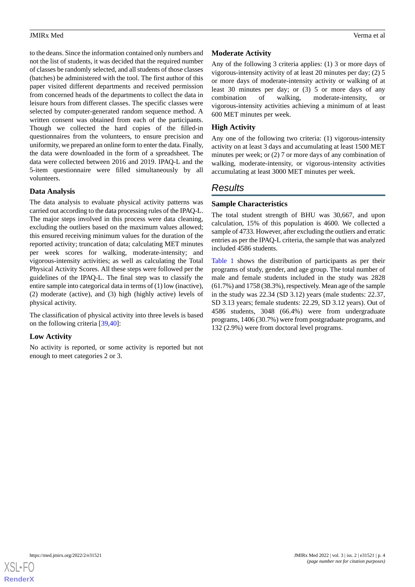to the deans. Since the information contained only numbers and not the list of students, it was decided that the required number of classes be randomly selected, and all students of those classes (batches) be administered with the tool. The first author of this paper visited different departments and received permission from concerned heads of the departments to collect the data in leisure hours from different classes. The specific classes were selected by computer-generated random sequence method. A written consent was obtained from each of the participants. Though we collected the hard copies of the filled-in questionnaires from the volunteers, to ensure precision and uniformity, we prepared an online form to enter the data. Finally, the data were downloaded in the form of a spreadsheet. The data were collected between 2016 and 2019. IPAQ-L and the 5-item questionnaire were filled simultaneously by all volunteers.

#### **Data Analysis**

The data analysis to evaluate physical activity patterns was carried out according to the data processing rules of the IPAQ-L. The major steps involved in this process were data cleaning. excluding the outliers based on the maximum values allowed; this ensured receiving minimum values for the duration of the reported activity; truncation of data; calculating MET minutes per week scores for walking, moderate-intensity; and vigorous-intensity activities; as well as calculating the Total Physical Activity Scores. All these steps were followed per the guidelines of the IPAQ-L. The final step was to classify the entire sample into categorical data in terms of (1) low (inactive), (2) moderate (active), and (3) high (highly active) levels of physical activity.

The classification of physical activity into three levels is based on the following criteria [\[39](#page-10-13),[40\]](#page-10-14):

## **Low Activity**

No activity is reported, or some activity is reported but not enough to meet categories 2 or 3.

## **Moderate Activity**

Any of the following 3 criteria applies: (1) 3 or more days of vigorous-intensity activity of at least 20 minutes per day; (2) 5 or more days of moderate-intensity activity or walking of at least 30 minutes per day; or (3) 5 or more days of any combination of walking, moderate-intensity, or vigorous-intensity activities achieving a minimum of at least 600 MET minutes per week.

## **High Activity**

Any one of the following two criteria: (1) vigorous-intensity activity on at least 3 days and accumulating at least 1500 MET minutes per week; or (2) 7 or more days of any combination of walking, moderate-intensity, or vigorous-intensity activities accumulating at least 3000 MET minutes per week.

## *Results*

#### **Sample Characteristics**

The total student strength of BHU was 30,667, and upon calculation, 15% of this population is 4600. We collected a sample of 4733. However, after excluding the outliers and erratic entries as per the IPAQ-L criteria, the sample that was analyzed included 4586 students.

[Table 1](#page-4-0) shows the distribution of participants as per their programs of study, gender, and age group. The total number of male and female students included in the study was 2828 (61.7%) and 1758 (38.3%), respectively. Mean age of the sample in the study was 22.34 (SD 3.12) years (male students: 22.37, SD 3.13 years; female students: 22.29, SD 3.12 years). Out of 4586 students, 3048 (66.4%) were from undergraduate programs, 1406 (30.7%) were from postgraduate programs, and 132 (2.9%) were from doctoral level programs.

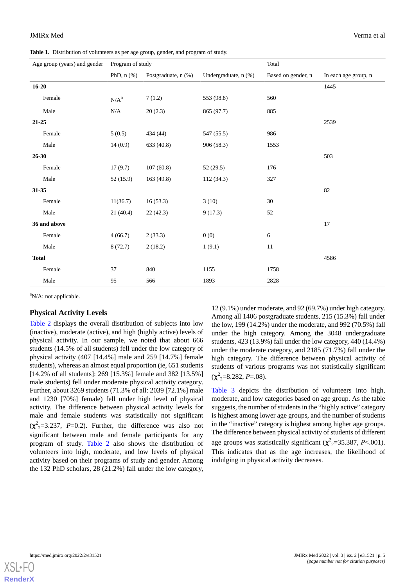<span id="page-4-0"></span>**Table 1.** Distribution of volunteers as per age group, gender, and program of study.

| Age group (years) and gender Program of study |              |                     |                      | Total              |                      |  |
|-----------------------------------------------|--------------|---------------------|----------------------|--------------------|----------------------|--|
|                                               | PhD, $n$ $%$ | Postgraduate, n (%) | Undergraduate, n (%) | Based on gender, n | In each age group, n |  |
| $16 - 20$                                     |              |                     |                      |                    | 1445                 |  |
| Female                                        | $N/A^a$      | 7(1.2)              | 553 (98.8)           | 560                |                      |  |
| Male                                          | $\rm N/A$    | 20(2.3)             | 865 (97.7)           | 885                |                      |  |
| 21-25                                         |              |                     |                      |                    | 2539                 |  |
| Female                                        | 5(0.5)       | 434 (44)            | 547 (55.5)           | 986                |                      |  |
| Male                                          | 14(0.9)      | 633 (40.8)          | 906 (58.3)           | 1553               |                      |  |
| $26 - 30$                                     |              |                     |                      |                    | 503                  |  |
| Female                                        | 17(9.7)      | 107(60.8)           | 52(29.5)             | 176                |                      |  |
| Male                                          | 52(15.9)     | 163(49.8)           | 112(34.3)            | 327                |                      |  |
| 31-35                                         |              |                     |                      |                    | 82                   |  |
| Female                                        | 11(36.7)     | 16(53.3)            | 3(10)                | 30                 |                      |  |
| Male                                          | 21(40.4)     | 22(42.3)            | 9(17.3)              | 52                 |                      |  |
| 36 and above                                  |              |                     |                      |                    | 17                   |  |
| Female                                        | 4(66.7)      | 2(33.3)             | 0(0)                 | $\epsilon$         |                      |  |
| Male                                          | 8(72.7)      | 2(18.2)             | 1(9.1)               | $11\,$             |                      |  |
| <b>Total</b>                                  |              |                     |                      |                    | 4586                 |  |
| Female                                        | 37           | 840                 | 1155                 | 1758               |                      |  |
| Male                                          | 95           | 566                 | 1893                 | 2828               |                      |  |

<sup>a</sup>N/A: not applicable.

#### **Physical Activity Levels**

[Table 2](#page-5-0) displays the overall distribution of subjects into low (inactive), moderate (active), and high (highly active) levels of physical activity. In our sample, we noted that about 666 students (14.5% of all students) fell under the low category of physical activity (407 [14.4%] male and 259 [14.7%] female students), whereas an almost equal proportion (ie, 651 students [14.2% of all students]: 269 [15.3%] female and 382 [13.5%] male students) fell under moderate physical activity category. Further, about 3269 students (71.3% of all: 2039 [72.1%] male and 1230 [70%] female) fell under high level of physical activity. The difference between physical activity levels for male and female students was statistically not significant  $(\chi^2_{2} = 3.237, P = 0.2)$ . Further, the difference was also not significant between male and female participants for any program of study. [Table 2](#page-5-0) also shows the distribution of volunteers into high, moderate, and low levels of physical activity based on their programs of study and gender. Among the 132 PhD scholars, 28 (21.2%) fall under the low category,

12 (9.1%) under moderate, and 92 (69.7%) under high category. Among all 1406 postgraduate students, 215 (15.3%) fall under the low, 199 (14.2%) under the moderate, and 992 (70.5%) fall under the high category. Among the 3048 undergraduate students, 423 (13.9%) fall under the low category, 440 (14.4%) under the moderate category, and 2185 (71.7%) fall under the high category. The difference between physical activity of students of various programs was not statistically significant  $(\chi^2_{2}=8.282, P=.08).$ 

[Table 3](#page-5-1) depicts the distribution of volunteers into high, moderate, and low categories based on age group. As the table suggests, the number of students in the "highly active" category is highest among lower age groups, and the number of students in the "inactive" category is highest among higher age groups. The difference between physical activity of students of different age groups was statistically significant  $(\chi^2_{2} = 35.387, P < .001)$ . This indicates that as the age increases, the likelihood of indulging in physical activity decreases.

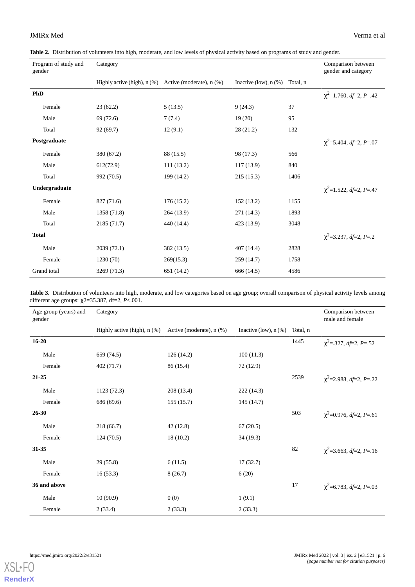<span id="page-5-0"></span>

| Program of study and<br>gender | Category                                                 |            |                         |          | Comparison between<br>gender and category |
|--------------------------------|----------------------------------------------------------|------------|-------------------------|----------|-------------------------------------------|
|                                | Highly active (high), $n$ (%) Active (moderate), $n$ (%) |            | Inactive (low), $n$ (%) | Total, n |                                           |
| PhD                            |                                                          |            |                         |          | $\chi^2$ =1.760, df=2, P=.42              |
| Female                         | 23(62.2)                                                 | 5(13.5)    | 9(24.3)                 | 37       |                                           |
| Male                           | 69 (72.6)                                                | 7(7.4)     | 19(20)                  | 95       |                                           |
| Total                          | 92(69.7)                                                 | 12(9.1)    | 28(21.2)                | 132      |                                           |
| Postgraduate                   |                                                          |            |                         |          | $\chi^2$ =5.404, df=2, P=.07              |
| Female                         | 380 (67.2)                                               | 88 (15.5)  | 98 (17.3)               | 566      |                                           |
| Male                           | 612(72.9)                                                | 111(13.2)  | 117(13.9)               | 840      |                                           |
| Total                          | 992 (70.5)                                               | 199 (14.2) | 215(15.3)               | 1406     |                                           |
| Undergraduate                  |                                                          |            |                         |          | $\chi^2$ =1.522, df=2, P=.47              |
| Female                         | 827 (71.6)                                               | 176(15.2)  | 152(13.2)               | 1155     |                                           |
| Male                           | 1358 (71.8)                                              | 264(13.9)  | 271 (14.3)              | 1893     |                                           |
| Total                          | 2185 (71.7)                                              | 440 (14.4) | 423 (13.9)              | 3048     |                                           |
| <b>Total</b>                   |                                                          |            |                         |          | $\chi^2$ =3.237, df=2, P=.2               |
| Male                           | 2039(72.1)                                               | 382 (13.5) | 407(14.4)               | 2828     |                                           |
| Female                         | 1230 (70)                                                | 269(15.3)  | 259 (14.7)              | 1758     |                                           |
| Grand total                    | 3269 (71.3)                                              | 651 (14.2) | 666 (14.5)              | 4586     |                                           |

<span id="page-5-1"></span>Table 3. Distribution of volunteers into high, moderate, and low categories based on age group; overall comparison of physical activity levels among different age groups: χ2=35.387, df=2, *P*<.001.

| Age group (years) and<br>gender | Category                      |                              |                         |          | Comparison between<br>male and female |
|---------------------------------|-------------------------------|------------------------------|-------------------------|----------|---------------------------------------|
|                                 | Highly active (high), $n$ (%) | Active (moderate), $n$ $%$ ) | Inactive (low), $n$ (%) | Total, n |                                       |
| $16 - 20$                       |                               |                              |                         | 1445     | $\chi^2$ =.327, df=2, P=.52           |
| Male                            | 659 (74.5)                    | 126 (14.2)                   | 100(11.3)               |          |                                       |
| Female                          | 402 (71.7)                    | 86 (15.4)                    | 72 (12.9)               |          |                                       |
| 21-25                           |                               |                              |                         | 2539     | $\chi^2$ =2.988, df=2, P=.22          |
| Male                            | 1123 (72.3)                   | 208 (13.4)                   | 222(14.3)               |          |                                       |
| Female                          | 686 (69.6)                    | 155(15.7)                    | 145 (14.7)              |          |                                       |
| $26 - 30$                       |                               |                              |                         | 503      | $\chi^2$ =0.976, df=2, P=.61          |
| Male                            | 218 (66.7)                    | 42 (12.8)                    | 67(20.5)                |          |                                       |
| Female                          | 124(70.5)                     | 18(10.2)                     | 34(19.3)                |          |                                       |
| 31-35                           |                               |                              |                         | 82       | $\chi^2$ =3.663, df=2, P=.16          |
| Male                            | 29(55.8)                      | 6(11.5)                      | 17(32.7)                |          |                                       |
| Female                          | 16(53.3)                      | 8(26.7)                      | 6(20)                   |          |                                       |
| 36 and above                    |                               |                              |                         | 17       | $\chi^2$ =6.783, df=2, P=.03          |
| Male                            | 10(90.9)                      | 0(0)                         | 1(9.1)                  |          |                                       |
| Female                          | 2(33.4)                       | 2(33.3)                      | 2(33.3)                 |          |                                       |

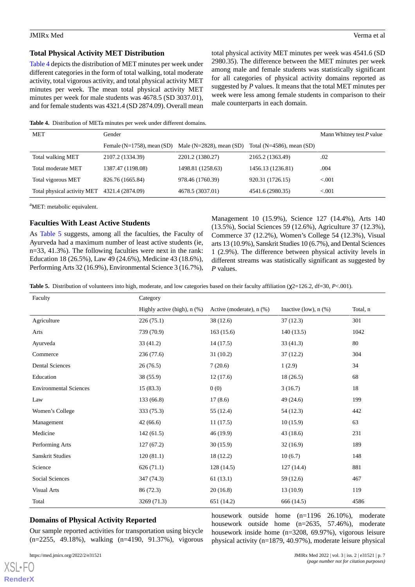#### **Total Physical Activity MET Distribution**

[Table 4](#page-6-0) depicts the distribution of MET minutes per week under different categories in the form of total walking, total moderate activity, total vigorous activity, and total physical activity MET minutes per week. The mean total physical activity MET minutes per week for male students was 4678.5 (SD 3037.01), and for female students was 4321.4 (SD 2874.09). Overall mean total physical activity MET minutes per week was 4541.6 (SD 2980.35). The difference between the MET minutes per week among male and female students was statistically significant for all categories of physical activity domains reported as suggested by *P* values. It means that the total MET minutes per week were less among female students in comparison to their male counterparts in each domain.

<span id="page-6-0"></span>**Table 4.** Distribution of METa minutes per week under different domains.

| MET                         | Gender                          | Mann Whitney test $P$ value  |                               |         |
|-----------------------------|---------------------------------|------------------------------|-------------------------------|---------|
|                             | Female $(N=1758)$ , mean $(SD)$ | Male ( $N=2828$ ), mean (SD) | Total ( $N=4586$ ), mean (SD) |         |
| Total walking MET           | 2107.2 (1334.39)                | 2201.2 (1380.27)             | 2165.2 (1363.49)              | .02     |
| Total moderate MET          | 1387.47 (1198.08)               | 1498.81 (1258.63)            | 1456.13 (1236.81)             | .004    |
| Total vigorous MET          | 826.76 (1665.84)                | 978.46 (1760.39)             | 920.31 (1726.15)              | < 0.001 |
| Total physical activity MET | 4321.4 (2874.09)                | 4678.5 (3037.01)             | 4541.6 (2980.35)              | < 0.001 |

<sup>a</sup>MET: metabolic equivalent.

#### **Faculties With Least Active Students**

<span id="page-6-1"></span>As [Table 5](#page-6-1) suggests, among all the faculties, the Faculty of Ayurveda had a maximum number of least active students (ie, n=33, 41.3%). The following faculties were next in the rank: Education 18 (26.5%), Law 49 (24.6%), Medicine 43 (18.6%), Performing Arts 32 (16.9%), Environmental Science 3 (16.7%), Management 10 (15.9%), Science 127 (14.4%), Arts 140 (13.5%), Social Sciences 59 (12.6%), Agriculture 37 (12.3%), Commerce 37 (12.2%), Women's College 54 (12.3%), Visual arts 13 (10.9%), Sanskrit Studies 10 (6.7%), and Dental Sciences 1 (2.9%). The difference between physical activity levels in different streams was statistically significant as suggested by *P* values.

**Table 5.** Distribution of volunteers into high, moderate, and low categories based on their faculty affiliation (χ2=126.2, df=30, *P*<.001).

| Faculty                       | Category                      |                              |                         |          |  |  |
|-------------------------------|-------------------------------|------------------------------|-------------------------|----------|--|--|
|                               | Highly active (high), $n$ (%) | Active (moderate), $n$ $%$ ) | Inactive (low), $n$ (%) | Total, n |  |  |
| Agriculture                   | 226(75.1)                     | 38(12.6)                     | 37(12.3)                | 301      |  |  |
| Arts                          | 739 (70.9)                    | 163(15.6)                    | 140(13.5)               | 1042     |  |  |
| Ayurveda                      | 33(41.2)                      | 14(17.5)                     | 33(41.3)                | 80       |  |  |
| Commerce                      | 236(77.6)                     | 31(10.2)                     | 37(12.2)                | 304      |  |  |
| <b>Dental Sciences</b>        | 26(76.5)                      | 7(20.6)                      | 1(2.9)                  | 34       |  |  |
| Education                     | 38(55.9)                      | 12(17.6)                     | 18(26.5)                | 68       |  |  |
| <b>Environmental Sciences</b> | 15(83.3)                      | 0(0)                         | 3(16.7)                 | 18       |  |  |
| Law                           | 133 (66.8)                    | 17(8.6)                      | 49 (24.6)               | 199      |  |  |
| Women's College               | 333 (75.3)                    | 55(12.4)                     | 54 (12.3)               | 442      |  |  |
| Management                    | 42(66.6)                      | 11(17.5)                     | 10(15.9)                | 63       |  |  |
| Medicine                      | 142(61.5)                     | 46 (19.9)                    | 43(18.6)                | 231      |  |  |
| Performing Arts               | 127(67.2)                     | 30(15.9)                     | 32(16.9)                | 189      |  |  |
| <b>Sanskrit Studies</b>       | 120(81.1)                     | 18(12.2)                     | 10(6.7)                 | 148      |  |  |
| Science                       | 626(71.1)                     | 128(14.5)                    | 127(14.4)               | 881      |  |  |
| Social Sciences               | 347 (74.3)                    | 61(13.1)                     | 59 (12.6)               | 467      |  |  |
| <b>Visual Arts</b>            | 86 (72.3)                     | 20(16.8)                     | 13(10.9)                | 119      |  |  |
| Total                         | 3269 (71.3)                   | 651 (14.2)                   | 666 (14.5)              | 4586     |  |  |

#### **Domains of Physical Activity Reported**

Our sample reported activities for transportation using bicycle (n=2255, 49.18%), walking (n=4190, 91.37%), vigorous

[XSL](http://www.w3.org/Style/XSL)•FO **[RenderX](http://www.renderx.com/)**

housework outside home (n=1196 26.10%), moderate housework outside home (n=2635, 57.46%), moderate housework inside home (n=3208, 69.97%), vigorous leisure physical activity (n=1879, 40.97%), moderate leisure physical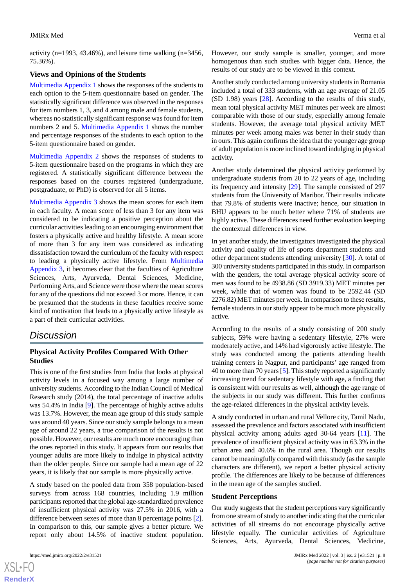activity (n=1993, 43.46%), and leisure time walking (n=3456, 75.36%).

#### **Views and Opinions of the Students**

[Multimedia Appendix 1](#page-8-0) shows the responses of the students to each option to the 5-item questionnaire based on gender. The statistically significant difference was observed in the responses for item numbers 1, 3, and 4 among male and female students, whereas no statistically significant response was found for item numbers 2 and 5. [Multimedia Appendix 1](#page-8-0) shows the number and percentage responses of the students to each option to the 5-item questionnaire based on gender.

[Multimedia Appendix 2](#page-9-10) shows the responses of students to 5-item questionnaire based on the programs in which they are registered. A statistically significant difference between the responses based on the courses registered (undergraduate, postgraduate, or PhD) is observed for all 5 items.

[Multimedia Appendix 3](#page-9-11) shows the mean scores for each item in each faculty. A mean score of less than 3 for any item was considered to be indicating a positive perception about the curricular activities leading to an encouraging environment that fosters a physically active and healthy lifestyle. A mean score of more than 3 for any item was considered as indicating dissatisfaction toward the curriculum of the faculty with respect to leading a physically active lifestyle. From [Multimedia](#page-9-11) [Appendix 3,](#page-9-11) it becomes clear that the faculties of Agriculture Sciences, Arts, Ayurveda, Dental Sciences, Medicine, Performing Arts, and Science were those where the mean scores for any of the questions did not exceed 3 or more. Hence, it can be presumed that the students in these faculties receive some kind of motivation that leads to a physically active lifestyle as a part of their curricular activities.

## *Discussion*

## **Physical Activity Profiles Compared With Other Studies**

This is one of the first studies from India that looks at physical activity levels in a focused way among a large number of university students. According to the Indian Council of Medical Research study (2014), the total percentage of inactive adults was 54.4% in India [[9](#page-9-9)]. The percentage of highly active adults was 13.7%. However, the mean age group of this study sample was around 40 years. Since our study sample belongs to a mean age of around 22 years, a true comparison of the results is not possible. However, our results are much more encouraging than the ones reported in this study. It appears from our results that younger adults are more likely to indulge in physical activity than the older people. Since our sample had a mean age of 22 years, it is likely that our sample is more physically active.

A study based on the pooled data from 358 population-based surveys from across 168 countries, including 1.9 million participants reported that the global age-standardized prevalence of insufficient physical activity was 27.5% in 2016, with a difference between sexes of more than 8 percentage points [[2\]](#page-9-12). In comparison to this, our sample gives a better picture. We report only about 14.5% of inactive student population.

 $XS$ -FO **[RenderX](http://www.renderx.com/)** However, our study sample is smaller, younger, and more homogenous than such studies with bigger data. Hence, the results of our study are to be viewed in this context.

Another study conducted among university students in Romania included a total of 333 students, with an age average of 21.05 (SD 1.98) years [\[28](#page-10-6)]. According to the results of this study, mean total physical activity MET minutes per week are almost comparable with those of our study, especially among female students. However, the average total physical activity MET minutes per week among males was better in their study than in ours. This again confirms the idea that the younger age group of adult population is more inclined toward indulging in physical activity.

Another study determined the physical activity performed by undergraduate students from 20 to 22 years of age, including its frequency and intensity [\[29](#page-10-3)]. The sample consisted of 297 students from the University of Maribor. Their results indicate that 79.8% of students were inactive; hence, our situation in BHU appears to be much better where 71% of students are highly active. These differences need further evaluation keeping the contextual differences in view.

In yet another study, the investigators investigated the physical activity and quality of life of sports department students and other department students attending university [[30\]](#page-10-7). A total of 300 university students participated in this study. In comparison with the genders, the total average physical activity score of men was found to be 4938.86 (SD 3919.33) MET minutes per week, while that of women was found to be 2592.44 (SD 2276.82) MET minutes per week. In comparison to these results, female students in our study appear to be much more physically active.

According to the results of a study consisting of 200 study subjects, 59% were having a sedentary lifestyle, 27% were moderately active, and 14% had vigorously active lifestyle. The study was conducted among the patients attending health training centers in Nagpur, and participants' age ranged from 40 to more than 70 years [\[5](#page-9-1)]. This study reported a significantly increasing trend for sedentary lifestyle with age, a finding that is consistent with our results as well, although the age range of the subjects in our study was different. This further confirms the age-related differences in the physical activity levels.

A study conducted in urban and rural Vellore city, Tamil Nadu, assessed the prevalence and factors associated with insufficient physical activity among adults aged 30-64 years [[11\]](#page-9-5). The prevalence of insufficient physical activity was in 63.3% in the urban area and 40.6% in the rural area. Though our results cannot be meaningfully compared with this study (as the sample characters are different), we report a better physical activity profile. The differences are likely to be because of differences in the mean age of the samples studied.

#### **Student Perceptions**

Our study suggests that the student perceptions vary significantly from one stream of study to another indicating that the curricular activities of all streams do not encourage physically active lifestyle equally. The curricular activities of Agriculture Sciences, Arts, Ayurveda, Dental Sciences, Medicine,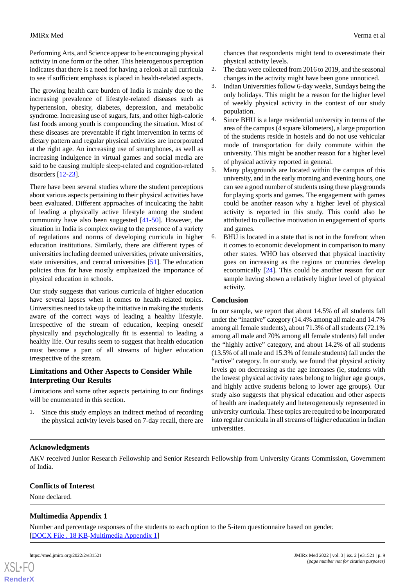Performing Arts, and Science appear to be encouraging physical activity in one form or the other. This heterogenous perception indicates that there is a need for having a relook at all curricula to see if sufficient emphasis is placed in health-related aspects.

The growing health care burden of India is mainly due to the increasing prevalence of lifestyle-related diseases such as hypertension, obesity, diabetes, depression, and metabolic syndrome. Increasing use of sugars, fats, and other high-calorie fast foods among youth is compounding the situation. Most of these diseases are preventable if right intervention in terms of dietary pattern and regular physical activities are incorporated at the right age. An increasing use of smartphones, as well as increasing indulgence in virtual games and social media are said to be causing multiple sleep-related and cognition-related disorders [\[12](#page-9-6)[-23](#page-10-0)].

There have been several studies where the student perceptions about various aspects pertaining to their physical activities have been evaluated. Different approaches of inculcating the habit of leading a physically active lifestyle among the student community have also been suggested [\[41](#page-10-15)-[50\]](#page-11-0). However, the situation in India is complex owing to the presence of a variety of regulations and norms of developing curricula in higher education institutions. Similarly, there are different types of universities including deemed universities, private universities, state universities, and central universities [\[51](#page-11-1)]. The education policies thus far have mostly emphasized the importance of physical education in schools.

Our study suggests that various curricula of higher education have several lapses when it comes to health-related topics. Universities need to take up the initiative in making the students aware of the correct ways of leading a healthy lifestyle. Irrespective of the stream of education, keeping oneself physically and psychologically fit is essential to leading a healthy life. Our results seem to suggest that health education must become a part of all streams of higher education irrespective of the stream.

## **Limitations and Other Aspects to Consider While Interpreting Our Results**

Limitations and some other aspects pertaining to our findings will be enumerated in this section.

1. Since this study employs an indirect method of recording the physical activity levels based on 7-day recall, there are chances that respondents might tend to overestimate their physical activity levels.

- 2. The data were collected from 2016 to 2019, and the seasonal changes in the activity might have been gone unnoticed.
- 3. Indian Universities follow 6-day weeks, Sundays being the only holidays. This might be a reason for the higher level of weekly physical activity in the context of our study population.
- 4. Since BHU is a large residential university in terms of the area of the campus (4 square kilometers), a large proportion of the students reside in hostels and do not use vehicular mode of transportation for daily commute within the university. This might be another reason for a higher level of physical activity reported in general.
- 5. Many playgrounds are located within the campus of this university, and in the early morning and evening hours, one can see a good number of students using these playgrounds for playing sports and games. The engagement with games could be another reason why a higher level of physical activity is reported in this study. This could also be attributed to collective motivation in engagement of sports and games.
- 6. BHU is located in a state that is not in the forefront when it comes to economic development in comparison to many other states. WHO has observed that physical inactivity goes on increasing as the regions or countries develop economically [\[24](#page-10-1)]. This could be another reason for our sample having shown a relatively higher level of physical activity.

## **Conclusion**

In our sample, we report that about 14.5% of all students fall under the "inactive" category (14.4% among all male and 14.7% among all female students), about 71.3% of all students (72.1% among all male and 70% among all female students) fall under the "highly active" category, and about 14.2% of all students (13.5% of all male and 15.3% of female students) fall under the "active" category. In our study, we found that physical activity levels go on decreasing as the age increases (ie, students with the lowest physical activity rates belong to higher age groups, and highly active students belong to lower age groups). Our study also suggests that physical education and other aspects of health are inadequately and heterogeneously represented in university curricula. These topics are required to be incorporated into regular curricula in all streams of higher education in Indian universities.

## **Acknowledgments**

<span id="page-8-0"></span>AKV received Junior Research Fellowship and Senior Research Fellowship from University Grants Commission, Government of India.

## **Conflicts of Interest**

None declared.

## **Multimedia Appendix 1**

Number and percentage responses of the students to each option to the 5-item questionnaire based on gender. [[DOCX File , 18 KB](https://jmir.org/api/download?alt_name=xmed_v3i2e31521_app1.docx&filename=c0449c04f3e30cde3811e8b4bafe1b56.docx)-[Multimedia Appendix 1\]](https://jmir.org/api/download?alt_name=xmed_v3i2e31521_app1.docx&filename=c0449c04f3e30cde3811e8b4bafe1b56.docx)



**[RenderX](http://www.renderx.com/)**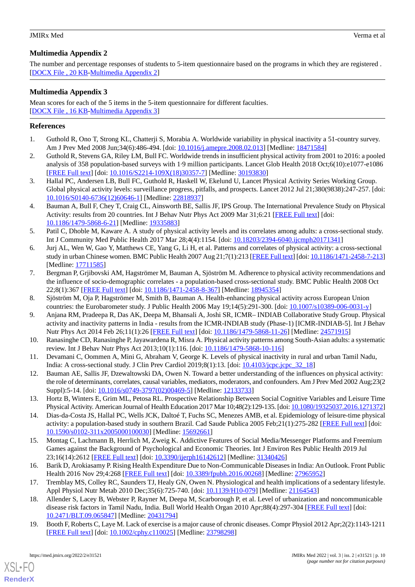## <span id="page-9-10"></span>**Multimedia Appendix 2**

The number and percentage responses of students to 5-item questionnaire based on the programs in which they are registered . [[DOCX File , 20 KB](https://jmir.org/api/download?alt_name=xmed_v3i2e31521_app2.docx&filename=4785109aa50716d285f5beef1e7f5588.docx)-[Multimedia Appendix 2\]](https://jmir.org/api/download?alt_name=xmed_v3i2e31521_app2.docx&filename=4785109aa50716d285f5beef1e7f5588.docx)

## <span id="page-9-11"></span>**Multimedia Appendix 3**

Mean scores for each of the 5 items in the 5-item questionnaire for different faculties. [[DOCX File , 16 KB](https://jmir.org/api/download?alt_name=xmed_v3i2e31521_app3.docx&filename=8927d3ee361f8422ddd9f7efff66fa31.docx)-[Multimedia Appendix 3\]](https://jmir.org/api/download?alt_name=xmed_v3i2e31521_app3.docx&filename=8927d3ee361f8422ddd9f7efff66fa31.docx)

## <span id="page-9-0"></span>**References**

- <span id="page-9-12"></span>1. Guthold R, Ono T, Strong KL, Chatterji S, Morabia A. Worldwide variability in physical inactivity a 51-country survey. Am J Prev Med 2008 Jun;34(6):486-494. [doi: [10.1016/j.amepre.2008.02.013\]](http://dx.doi.org/10.1016/j.amepre.2008.02.013) [Medline: [18471584](http://www.ncbi.nlm.nih.gov/entrez/query.fcgi?cmd=Retrieve&db=PubMed&list_uids=18471584&dopt=Abstract)]
- 2. Guthold R, Stevens GA, Riley LM, Bull FC. Worldwide trends in insufficient physical activity from 2001 to 2016: a pooled analysis of 358 population-based surveys with 1·9 million participants. Lancet Glob Health 2018 Oct;6(10):e1077-e1086 [[FREE Full text](https://linkinghub.elsevier.com/retrieve/pii/S2214-109X(18)30357-7)] [doi: [10.1016/S2214-109X\(18\)30357-7\]](http://dx.doi.org/10.1016/S2214-109X(18)30357-7) [Medline: [30193830\]](http://www.ncbi.nlm.nih.gov/entrez/query.fcgi?cmd=Retrieve&db=PubMed&list_uids=30193830&dopt=Abstract)
- 3. Hallal PC, Andersen LB, Bull FC, Guthold R, Haskell W, Ekelund U, Lancet Physical Activity Series Working Group. Global physical activity levels: surveillance progress, pitfalls, and prospects. Lancet 2012 Jul 21;380(9838):247-257. [doi: [10.1016/S0140-6736\(12\)60646-1\]](http://dx.doi.org/10.1016/S0140-6736(12)60646-1) [Medline: [22818937](http://www.ncbi.nlm.nih.gov/entrez/query.fcgi?cmd=Retrieve&db=PubMed&list_uids=22818937&dopt=Abstract)]
- <span id="page-9-1"></span>4. Bauman A, Bull F, Chey T, Craig CL, Ainsworth BE, Sallis JF, IPS Group. The International Prevalence Study on Physical Activity: results from 20 countries. Int J Behav Nutr Phys Act 2009 Mar 31;6:21 [[FREE Full text](https://ijbnpa.biomedcentral.com/articles/10.1186/1479-5868-6-21)] [doi: [10.1186/1479-5868-6-21\]](http://dx.doi.org/10.1186/1479-5868-6-21) [Medline: [19335883\]](http://www.ncbi.nlm.nih.gov/entrez/query.fcgi?cmd=Retrieve&db=PubMed&list_uids=19335883&dopt=Abstract)
- <span id="page-9-2"></span>5. Patil C, Dhoble M, Kaware A. A study of physical activity levels and its correlates among adults: a cross-sectional study. Int J Community Med Public Health 2017 Mar 28;4(4):1154. [doi: [10.18203/2394-6040.ijcmph20171341](http://dx.doi.org/10.18203/2394-6040.ijcmph20171341)]
- <span id="page-9-3"></span>6. Jurj AL, Wen W, Gao Y, Matthews CE, Yang G, Li H, et al. Patterns and correlates of physical activity: a cross-sectional study in urban Chinese women. BMC Public Health 2007 Aug 21;7(1):213 [[FREE Full text](https://bmcpublichealth.biomedcentral.com/articles/10.1186/1471-2458-7-213)] [doi: [10.1186/1471-2458-7-213\]](http://dx.doi.org/10.1186/1471-2458-7-213) [Medline: [17711585](http://www.ncbi.nlm.nih.gov/entrez/query.fcgi?cmd=Retrieve&db=PubMed&list_uids=17711585&dopt=Abstract)]
- <span id="page-9-9"></span><span id="page-9-4"></span>7. Bergman P, Grjibovski AM, Hagströmer M, Bauman A, Sjöström M. Adherence to physical activity recommendations and the influence of socio-demographic correlates - a population-based cross-sectional study. BMC Public Health 2008 Oct 22;8(1):367 [[FREE Full text\]](https://bmcpublichealth.biomedcentral.com/articles/10.1186/1471-2458-8-367) [doi: [10.1186/1471-2458-8-367](http://dx.doi.org/10.1186/1471-2458-8-367)] [Medline: [18945354](http://www.ncbi.nlm.nih.gov/entrez/query.fcgi?cmd=Retrieve&db=PubMed&list_uids=18945354&dopt=Abstract)]
- 8. Sjöström M, Oja P, Hagströmer M, Smith B, Bauman A. Health-enhancing physical activity across European Union countries: the Eurobarometer study. J Public Health 2006 May 19;14(5):291-300. [doi: [10.1007/s10389-006-0031-y\]](http://dx.doi.org/10.1007/s10389-006-0031-y)
- <span id="page-9-5"></span>9. Anjana RM, Pradeepa R, Das AK, Deepa M, Bhansali A, Joshi SR, ICMR– INDIAB Collaborative Study Group. Physical activity and inactivity patterns in India - results from the ICMR-INDIAB study (Phase-1) [ICMR-INDIAB-5]. Int J Behav Nutr Phys Act 2014 Feb 26;11(1):26 [\[FREE Full text\]](https://ijbnpa.biomedcentral.com/articles/10.1186/1479-5868-11-26) [doi: [10.1186/1479-5868-11-26](http://dx.doi.org/10.1186/1479-5868-11-26)] [Medline: [24571915\]](http://www.ncbi.nlm.nih.gov/entrez/query.fcgi?cmd=Retrieve&db=PubMed&list_uids=24571915&dopt=Abstract)
- <span id="page-9-6"></span>10. Ranasinghe CD, Ranasinghe P, Jayawardena R, Misra A. Physical activity patterns among South-Asian adults: a systematic review. Int J Behav Nutr Phys Act 2013;10(1):116. [doi: [10.1186/1479-5868-10-116\]](http://dx.doi.org/10.1186/1479-5868-10-116)
- 11. Devamani C, Oommen A, Mini G, Abraham V, George K. Levels of physical inactivity in rural and urban Tamil Nadu, India: A cross-sectional study. J Clin Prev Cardiol 2019;8(1):13. [doi: [10.4103/jcpc.jcpc\\_32\\_18\]](http://dx.doi.org/10.4103/jcpc.jcpc_32_18)
- 12. Bauman AE, Sallis JF, Dzewaltowski DA, Owen N. Toward a better understanding of the influences on physical activity: the role of determinants, correlates, causal variables, mediators, moderators, and confounders. Am J Prev Med 2002 Aug;23(2 Suppl):5-14. [doi: [10.1016/s0749-3797\(02\)00469-5](http://dx.doi.org/10.1016/s0749-3797(02)00469-5)] [Medline: [12133733\]](http://www.ncbi.nlm.nih.gov/entrez/query.fcgi?cmd=Retrieve&db=PubMed&list_uids=12133733&dopt=Abstract)
- <span id="page-9-7"></span>13. Hortz B, Winters E, Grim ML, Petosa RL. Prospective Relationship Between Social Cognitive Variables and Leisure Time Physical Activity. American Journal of Health Education 2017 Mar 10;48(2):129-135. [doi: [10.1080/19325037.2016.1271372\]](http://dx.doi.org/10.1080/19325037.2016.1271372)
- <span id="page-9-8"></span>14. Dias-da-Costa JS, Hallal PC, Wells JCK, Daltoé T, Fuchs SC, Menezes AMB, et al. Epidemiology of leisure-time physical activity: a population-based study in southern Brazil. Cad Saude Publica 2005 Feb; 21(1): 275-282 [[FREE Full text](https://www.scielo.br/scielo.php?script=sci_arttext&pid=S0102-311X2005000100030&lng=en&nrm=iso&tlng=en)] [doi: [10.1590/s0102-311x2005000100030](http://dx.doi.org/10.1590/s0102-311x2005000100030)] [Medline: [15692661\]](http://www.ncbi.nlm.nih.gov/entrez/query.fcgi?cmd=Retrieve&db=PubMed&list_uids=15692661&dopt=Abstract)
- 15. Montag C, Lachmann B, Herrlich M, Zweig K. Addictive Features of Social Media/Messenger Platforms and Freemium Games against the Background of Psychological and Economic Theories. Int J Environ Res Public Health 2019 Jul 23;16(14):2612 [[FREE Full text\]](https://www.mdpi.com/resolver?pii=ijerph16142612) [doi: [10.3390/ijerph16142612\]](http://dx.doi.org/10.3390/ijerph16142612) [Medline: [31340426\]](http://www.ncbi.nlm.nih.gov/entrez/query.fcgi?cmd=Retrieve&db=PubMed&list_uids=31340426&dopt=Abstract)
- 16. Barik D, Arokiasamy P. Rising Health Expenditure Due to Non-Communicable Diseases in India: An Outlook. Front Public Health 2016 Nov 29;4:268 [\[FREE Full text\]](https://doi.org/10.3389/fpubh.2016.00268) [doi: [10.3389/fpubh.2016.00268](http://dx.doi.org/10.3389/fpubh.2016.00268)] [Medline: [27965952](http://www.ncbi.nlm.nih.gov/entrez/query.fcgi?cmd=Retrieve&db=PubMed&list_uids=27965952&dopt=Abstract)]
- 17. Tremblay MS, Colley RC, Saunders TJ, Healy GN, Owen N. Physiological and health implications of a sedentary lifestyle. Appl Physiol Nutr Metab 2010 Dec;35(6):725-740. [doi: [10.1139/H10-079\]](http://dx.doi.org/10.1139/H10-079) [Medline: [21164543](http://www.ncbi.nlm.nih.gov/entrez/query.fcgi?cmd=Retrieve&db=PubMed&list_uids=21164543&dopt=Abstract)]
- 18. Allender S, Lacey B, Webster P, Rayner M, Deepa M, Scarborough P, et al. Level of urbanization and noncommunicable disease risk factors in Tamil Nadu, India. Bull World Health Organ 2010 Apr;88(4):297-304 [[FREE Full text](http://europepmc.org/abstract/MED/20431794)] [doi: [10.2471/BLT.09.065847](http://dx.doi.org/10.2471/BLT.09.065847)] [Medline: [20431794\]](http://www.ncbi.nlm.nih.gov/entrez/query.fcgi?cmd=Retrieve&db=PubMed&list_uids=20431794&dopt=Abstract)
- 19. Booth F, Roberts C, Laye M. Lack of exercise is a major cause of chronic diseases. Compr Physiol 2012 Apr;2(2):1143-1211 [[FREE Full text](http://europepmc.org/abstract/MED/23798298)] [doi: [10.1002/cphy.c110025](http://dx.doi.org/10.1002/cphy.c110025)] [Medline: [23798298](http://www.ncbi.nlm.nih.gov/entrez/query.fcgi?cmd=Retrieve&db=PubMed&list_uids=23798298&dopt=Abstract)]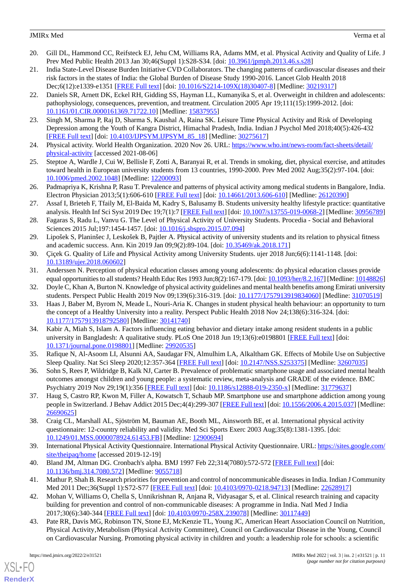- 20. Gill DL, Hammond CC, Reifsteck EJ, Jehu CM, Williams RA, Adams MM, et al. Physical Activity and Quality of Life. J Prev Med Public Health 2013 Jan 30;46(Suppl 1):S28-S34. [doi: [10.3961/jpmph.2013.46.s.s28](http://dx.doi.org/10.3961/jpmph.2013.46.s.s28)]
- 21. India State-Level Disease Burden Initiative CVD Collaborators. The changing patterns of cardiovascular diseases and their risk factors in the states of India: the Global Burden of Disease Study 1990-2016. Lancet Glob Health 2018 Dec;6(12):e1339-e1351 [[FREE Full text](https://linkinghub.elsevier.com/retrieve/pii/S2214-109X(18)30407-8)] [doi: [10.1016/S2214-109X\(18\)30407-8\]](http://dx.doi.org/10.1016/S2214-109X(18)30407-8) [Medline: [30219317\]](http://www.ncbi.nlm.nih.gov/entrez/query.fcgi?cmd=Retrieve&db=PubMed&list_uids=30219317&dopt=Abstract)
- 22. Daniels SR, Arnett DK, Eckel RH, Gidding SS, Hayman LL, Kumanyika S, et al. Overweight in children and adolescents: pathophysiology, consequences, prevention, and treatment. Circulation 2005 Apr 19;111(15):1999-2012. [doi: [10.1161/01.CIR.0000161369.71722.10\]](http://dx.doi.org/10.1161/01.CIR.0000161369.71722.10) [Medline: [15837955](http://www.ncbi.nlm.nih.gov/entrez/query.fcgi?cmd=Retrieve&db=PubMed&list_uids=15837955&dopt=Abstract)]
- <span id="page-10-1"></span><span id="page-10-0"></span>23. Singh M, Sharma P, Raj D, Sharma S, Kaushal A, Raina SK. Leisure Time Physical Activity and Risk of Developing Depression among the Youth of Kangra District, Himachal Pradesh, India. Indian J Psychol Med 2018;40(5):426-432 [[FREE Full text](https://journals.sagepub.com/doi/10.4103/IJPSYM.IJPSYM_85_18?url_ver=Z39.88-2003&rfr_id=ori:rid:crossref.org&rfr_dat=cr_pub%3dpubmed)] [doi: [10.4103/IJPSYM.IJPSYM\\_85\\_18](http://dx.doi.org/10.4103/IJPSYM.IJPSYM_85_18)] [Medline: [30275617\]](http://www.ncbi.nlm.nih.gov/entrez/query.fcgi?cmd=Retrieve&db=PubMed&list_uids=30275617&dopt=Abstract)
- <span id="page-10-2"></span>24. Physical activity. World Health Organization. 2020 Nov 26. URL: [https://www.who.int/news-room/fact-sheets/detail/](https://www.who.int/news-room/fact-sheets/detail/physical-activity) [physical-activity](https://www.who.int/news-room/fact-sheets/detail/physical-activity) [accessed 2021-08-06]
- <span id="page-10-4"></span>25. Steptoe A, Wardle J, Cui W, Bellisle F, Zotti A, Baranyai R, et al. Trends in smoking, diet, physical exercise, and attitudes toward health in European university students from 13 countries, 1990-2000. Prev Med 2002 Aug;35(2):97-104. [doi: [10.1006/pmed.2002.1048](http://dx.doi.org/10.1006/pmed.2002.1048)] [Medline: [12200093\]](http://www.ncbi.nlm.nih.gov/entrez/query.fcgi?cmd=Retrieve&db=PubMed&list_uids=12200093&dopt=Abstract)
- <span id="page-10-5"></span>26. Padmapriya K, Krishna P, Rasu T. Prevalence and patterns of physical activity among medical students in Bangalore, India. Electron Physician 2013;5(1):606-610 [[FREE Full text](http://europepmc.org/abstract/MED/26120390)] [doi: [10.14661/2013.606-610](http://dx.doi.org/10.14661/2013.606-610)] [Medline: [26120390](http://www.ncbi.nlm.nih.gov/entrez/query.fcgi?cmd=Retrieve&db=PubMed&list_uids=26120390&dopt=Abstract)]
- <span id="page-10-6"></span>27. Assaf I, Brieteh F, Tfaily M, El-Baida M, Kadry S, Balusamy B. Students university healthy lifestyle practice: quantitative analysis. Health Inf Sci Syst 2019 Dec 19;7(1):7 [[FREE Full text](http://europepmc.org/abstract/MED/30956789)] [doi: [10.1007/s13755-019-0068-2\]](http://dx.doi.org/10.1007/s13755-019-0068-2) [Medline: [30956789](http://www.ncbi.nlm.nih.gov/entrez/query.fcgi?cmd=Retrieve&db=PubMed&list_uids=30956789&dopt=Abstract)]
- <span id="page-10-3"></span>28. Fagaras S, Radu L, Vanvu G. The Level of Physical Activity of University Students. Procedia - Social and Behavioral Sciences 2015 Jul;197:1454-1457. [doi: [10.1016/j.sbspro.2015.07.094\]](http://dx.doi.org/10.1016/j.sbspro.2015.07.094)
- <span id="page-10-8"></span><span id="page-10-7"></span>29. Lipošek S, Planinšec J, Leskošek B, Pajtler A. Physical activity of university students and its relation to physical fitness and academic success. Ann. Kin 2019 Jan 09;9(2):89-104. [doi: [10.35469/ak.2018.171](http://dx.doi.org/10.35469/ak.2018.171)]
- 30. Çiçek G. Quality of Life and Physical Activity among University Students. ujer 2018 Jun;6(6):1141-1148. [doi: [10.13189/ujer.2018.060602\]](http://dx.doi.org/10.13189/ujer.2018.060602)
- 31. Anderssen N. Perception of physical education classes among young adolescents: do physical education classes provide equal opportunities to all students? Health Educ Res 1993 Jun;8(2):167-179. [doi: [10.1093/her/8.2.167](http://dx.doi.org/10.1093/her/8.2.167)] [Medline: [10148826\]](http://www.ncbi.nlm.nih.gov/entrez/query.fcgi?cmd=Retrieve&db=PubMed&list_uids=10148826&dopt=Abstract)
- 32. Doyle C, Khan A, Burton N. Knowledge of physical activity guidelines and mental health benefits among Emirati university students. Perspect Public Health 2019 Nov 09;139(6):316-319. [doi: [10.1177/1757913919834060](http://dx.doi.org/10.1177/1757913919834060)] [Medline: [31070519\]](http://www.ncbi.nlm.nih.gov/entrez/query.fcgi?cmd=Retrieve&db=PubMed&list_uids=31070519&dopt=Abstract)
- <span id="page-10-9"></span>33. Haas J, Baber M, Byrom N, Meade L, Nouri-Aria K. Changes in student physical health behaviour: an opportunity to turn the concept of a Healthy University into a reality. Perspect Public Health 2018 Nov 24;138(6):316-324. [doi: [10.1177/1757913918792580\]](http://dx.doi.org/10.1177/1757913918792580) [Medline: [30141740\]](http://www.ncbi.nlm.nih.gov/entrez/query.fcgi?cmd=Retrieve&db=PubMed&list_uids=30141740&dopt=Abstract)
- <span id="page-10-10"></span>34. Kabir A, Miah S, Islam A. Factors influencing eating behavior and dietary intake among resident students in a public university in Bangladesh: A qualitative study. PLoS One 2018 Jun 19;13(6):e0198801 [\[FREE Full text\]](https://dx.plos.org/10.1371/journal.pone.0198801) [doi: [10.1371/journal.pone.0198801\]](http://dx.doi.org/10.1371/journal.pone.0198801) [Medline: [29920535](http://www.ncbi.nlm.nih.gov/entrez/query.fcgi?cmd=Retrieve&db=PubMed&list_uids=29920535&dopt=Abstract)]
- <span id="page-10-11"></span>35. Rafique N, Al-Asoom LI, Alsunni AA, Saudagar FN, Almulhim LA, Alkaltham GK. Effects of Mobile Use on Subjective Sleep Quality. Nat Sci Sleep 2020;12:357-364 [\[FREE Full text\]](https://dx.doi.org/10.2147/NSS.S253375) [doi: [10.2147/NSS.S253375\]](http://dx.doi.org/10.2147/NSS.S253375) [Medline: [32607035](http://www.ncbi.nlm.nih.gov/entrez/query.fcgi?cmd=Retrieve&db=PubMed&list_uids=32607035&dopt=Abstract)]
- <span id="page-10-12"></span>36. Sohn S, Rees P, Wildridge B, Kalk NJ, Carter B. Prevalence of problematic smartphone usage and associated mental health outcomes amongst children and young people: a systematic review, meta-analysis and GRADE of the evidence. BMC Psychiatry 2019 Nov 29;19(1):356 [\[FREE Full text\]](https://bmcpsychiatry.biomedcentral.com/articles/10.1186/s12888-019-2350-x) [doi: [10.1186/s12888-019-2350-x](http://dx.doi.org/10.1186/s12888-019-2350-x)] [Medline: [31779637\]](http://www.ncbi.nlm.nih.gov/entrez/query.fcgi?cmd=Retrieve&db=PubMed&list_uids=31779637&dopt=Abstract)
- <span id="page-10-13"></span>37. Haug S, Castro RP, Kwon M, Filler A, Kowatsch T, Schaub MP. Smartphone use and smartphone addiction among young people in Switzerland. J Behav Addict 2015 Dec;4(4):299-307 [\[FREE Full text\]](http://europepmc.org/abstract/MED/26690625) [doi: [10.1556/2006.4.2015.037\]](http://dx.doi.org/10.1556/2006.4.2015.037) [Medline: [26690625](http://www.ncbi.nlm.nih.gov/entrez/query.fcgi?cmd=Retrieve&db=PubMed&list_uids=26690625&dopt=Abstract)]
- <span id="page-10-15"></span><span id="page-10-14"></span>38. Craig CL, Marshall AL, Sjöström M, Bauman AE, Booth ML, Ainsworth BE, et al. International physical activity questionnaire: 12-country reliability and validity. Med Sci Sports Exerc 2003 Aug;35(8):1381-1395. [doi: [10.1249/01.MSS.0000078924.61453.FB](http://dx.doi.org/10.1249/01.MSS.0000078924.61453.FB)] [Medline: [12900694\]](http://www.ncbi.nlm.nih.gov/entrez/query.fcgi?cmd=Retrieve&db=PubMed&list_uids=12900694&dopt=Abstract)
- 39. International Physical Activity Questionnaire. International Physical Activity Questionnaire. URL: [https://sites.google.com/](https://sites.google.com/site/theipaq/home) [site/theipaq/home](https://sites.google.com/site/theipaq/home) [accessed 2019-12-19]
- 40. Bland JM, Altman DG. Cronbach's alpha. BMJ 1997 Feb 22;314(7080):572-572 [[FREE Full text](http://europepmc.org/abstract/MED/9055718)] [doi: [10.1136/bmj.314.7080.572\]](http://dx.doi.org/10.1136/bmj.314.7080.572) [Medline: [9055718\]](http://www.ncbi.nlm.nih.gov/entrez/query.fcgi?cmd=Retrieve&db=PubMed&list_uids=9055718&dopt=Abstract)
- 41. Mathur P, Shah B. Research priorities for prevention and control of noncommunicable diseases in India. Indian J Community Med 2011 Dec;36(Suppl 1):S72-S77 [\[FREE Full text\]](http://www.ijcm.org.in/article.asp?issn=0970-0218;year=2011;volume=36;issue=5;spage=72;epage=77;aulast=Mathur) [doi: [10.4103/0970-0218.94713](http://dx.doi.org/10.4103/0970-0218.94713)] [Medline: [22628917\]](http://www.ncbi.nlm.nih.gov/entrez/query.fcgi?cmd=Retrieve&db=PubMed&list_uids=22628917&dopt=Abstract)
- 42. Mohan V, Williams O, Chella S, Unnikrishnan R, Anjana R, Vidyasagar S, et al. Clinical research training and capacity building for prevention and control of non-communicable diseases: A programme in India. Natl Med J India 2017;30(6):340-344 [[FREE Full text](http://www.nmji.in/article.asp?issn=0970-258X;year=2017;volume=30;issue=6;spage=340;epage=344;aulast=Mohan)] [doi: [10.4103/0970-258X.239078\]](http://dx.doi.org/10.4103/0970-258X.239078) [Medline: [30117449\]](http://www.ncbi.nlm.nih.gov/entrez/query.fcgi?cmd=Retrieve&db=PubMed&list_uids=30117449&dopt=Abstract)
- 43. Pate RR, Davis MG, Robinson TN, Stone EJ, McKenzie TL, Young JC, American Heart Association Council on Nutrition, Physical Activity'Metabolism (Physical Activity Committee), Council on Cardiovascular Disease in the Young, Council on Cardiovascular Nursing. Promoting physical activity in children and youth: a leadership role for schools: a scientific